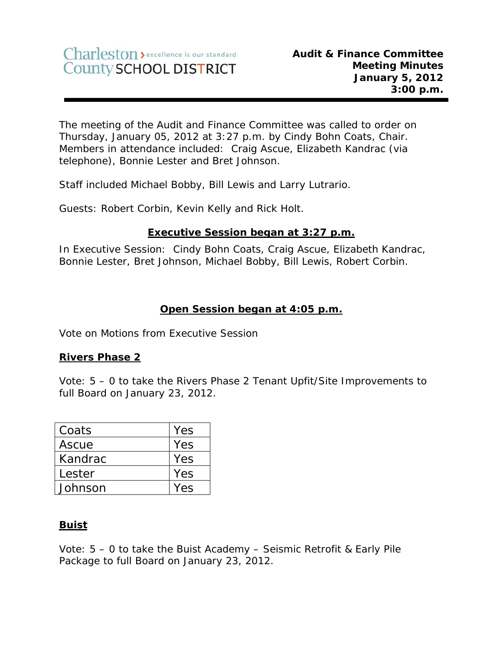The meeting of the Audit and Finance Committee was called to order on Thursday, January 05, 2012 at 3:27 p.m. by Cindy Bohn Coats, Chair. Members in attendance included: Craig Ascue, Elizabeth Kandrac (via telephone), Bonnie Lester and Bret Johnson.

Staff included Michael Bobby, Bill Lewis and Larry Lutrario.

Guests: Robert Corbin, Kevin Kelly and Rick Holt.

## **Executive Session began at 3:27 p.m.**

In Executive Session: Cindy Bohn Coats, Craig Ascue, Elizabeth Kandrac, Bonnie Lester, Bret Johnson, Michael Bobby, Bill Lewis, Robert Corbin.

## **Open Session began at 4:05 p.m.**

Vote on Motions from Executive Session

### **Rivers Phase 2**

Vote: 5 – 0 to take the Rivers Phase 2 Tenant Upfit/Site Improvements to full Board on January 23, 2012.

| Coats   | Yes        |
|---------|------------|
| Ascue   | Yes        |
| Kandrac | Yes        |
| Lester  | <b>Yes</b> |
| Johnson | Yes        |

#### **Buist**

Vote: 5 – 0 to take the Buist Academy – Seismic Retrofit & Early Pile Package to full Board on January 23, 2012.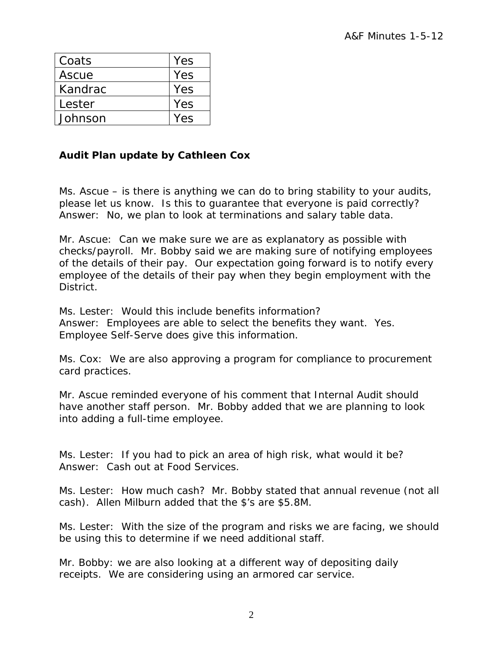| Coats   | Yes |
|---------|-----|
| Ascue   | Yes |
| Kandrac | Yes |
| Lester  | Yes |
| Johnson | Yes |

# **Audit Plan update by Cathleen Cox**

Ms. Ascue – is there is anything we can do to bring stability to your audits, please let us know. Is this to guarantee that everyone is paid correctly? Answer: No, we plan to look at terminations and salary table data.

Mr. Ascue: Can we make sure we are as explanatory as possible with checks/payroll. Mr. Bobby said we are making sure of notifying employees of the details of their pay. Our expectation going forward is to notify every employee of the details of their pay when they begin employment with the District.

Ms. Lester: Would this include benefits information? Answer: Employees are able to select the benefits they want. Yes. Employee Self-Serve does give this information.

Ms. Cox: We are also approving a program for compliance to procurement card practices.

Mr. Ascue reminded everyone of his comment that Internal Audit should have another staff person. Mr. Bobby added that we are planning to look into adding a full-time employee.

Ms. Lester: If you had to pick an area of high risk, what would it be? Answer: Cash out at Food Services.

Ms. Lester: How much cash? Mr. Bobby stated that annual revenue (not all cash). Allen Milburn added that the \$'s are \$5.8M.

Ms. Lester: With the size of the program and risks we are facing, we should be using this to determine if we need additional staff.

Mr. Bobby: we are also looking at a different way of depositing daily receipts. We are considering using an armored car service.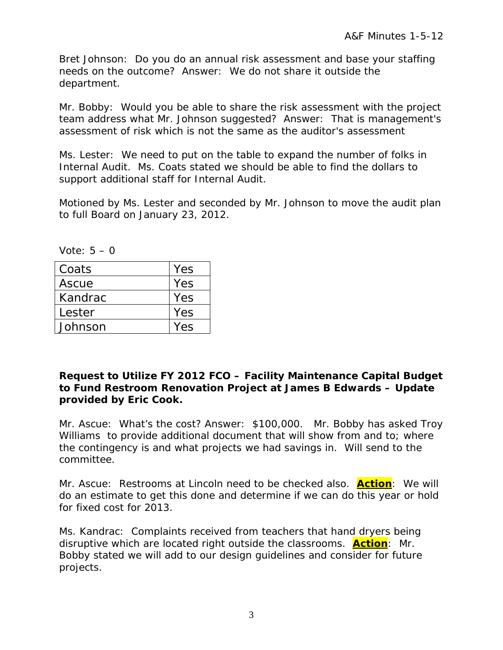Bret Johnson: Do you do an annual risk assessment and base your staffing needs on the outcome? Answer: We do not share it outside the department.

Mr. Bobby: Would you be able to share the risk assessment with the project team address what Mr. Johnson suggested? Answer: That is management's assessment of risk which is not the same as the auditor's assessment

Ms. Lester: We need to put on the table to expand the number of folks in Internal Audit. Ms. Coats stated we should be able to find the dollars to support additional staff for Internal Audit.

Motioned by Ms. Lester and seconded by Mr. Johnson to move the audit plan to full Board on January 23, 2012.

Vote: 5 – 0

| Coats   | Yes |
|---------|-----|
| Ascue   | Yes |
| Kandrac | Yes |
| Lester  | Yes |
| Johnson | Yes |

### **Request to Utilize FY 2012 FCO – Facility Maintenance Capital Budget to Fund Restroom Renovation Project at James B Edwards – Update provided by Eric Cook.**

Mr. Ascue: What's the cost? Answer: \$100,000. Mr. Bobby has asked Troy Williams to provide additional document that will show from and to; where the contingency is and what projects we had savings in. Will send to the committee.

Mr. Ascue: Restrooms at Lincoln need to be checked also. **Action**: We will do an estimate to get this done and determine if we can do this year or hold for fixed cost for 2013.

Ms. Kandrac: Complaints received from teachers that hand dryers being disruptive which are located right outside the classrooms. **Action**: Mr. Bobby stated we will add to our design guidelines and consider for future projects.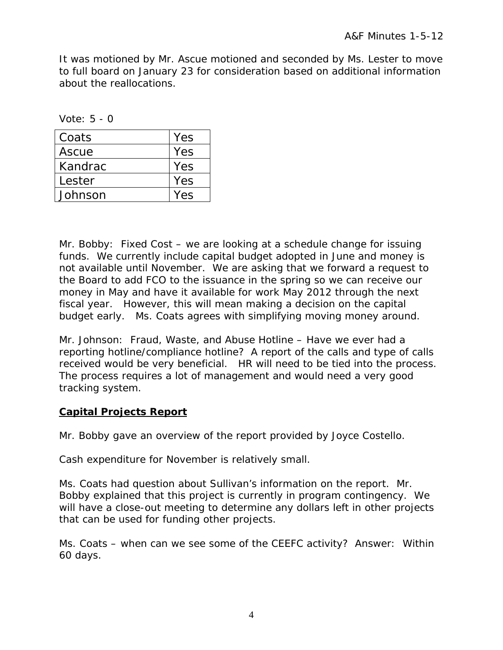It was motioned by Mr. Ascue motioned and seconded by Ms. Lester to move to full board on January 23 for consideration based on additional information about the reallocations.

Vote: 5 - 0

| Coats   | Yes |
|---------|-----|
| Ascue   | Yes |
| Kandrac | Yes |
| Lester  | Yes |
| Johnson | Yes |

Mr. Bobby: Fixed Cost – we are looking at a schedule change for issuing funds. We currently include capital budget adopted in June and money is not available until November. We are asking that we forward a request to the Board to add FCO to the issuance in the spring so we can receive our money in May and have it available for work May 2012 through the next fiscal year. However, this will mean making a decision on the capital budget early. Ms. Coats agrees with simplifying moving money around.

Mr. Johnson: Fraud, Waste, and Abuse Hotline – Have we ever had a reporting hotline/compliance hotline? A report of the calls and type of calls received would be very beneficial. HR will need to be tied into the process. The process requires a lot of management and would need a very good tracking system.

# **Capital Projects Report**

Mr. Bobby gave an overview of the report provided by Joyce Costello.

Cash expenditure for November is relatively small.

Ms. Coats had question about Sullivan's information on the report. Mr. Bobby explained that this project is currently in program contingency. We will have a close-out meeting to determine any dollars left in other projects that can be used for funding other projects.

Ms. Coats – when can we see some of the CEEFC activity? Answer: Within 60 days.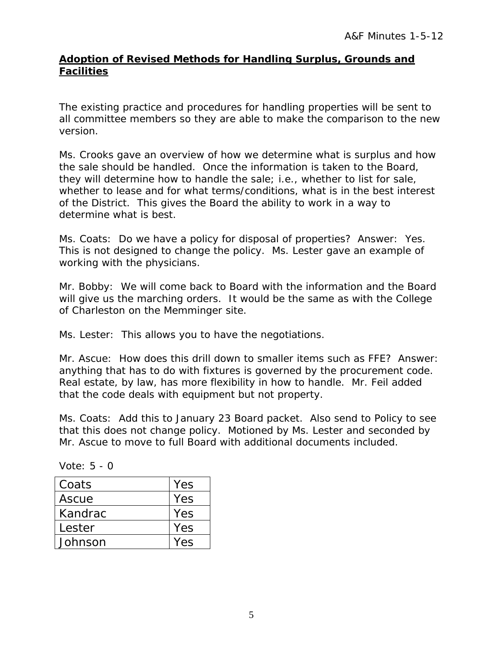### **Adoption of Revised Methods for Handling Surplus, Grounds and Facilities**

The existing practice and procedures for handling properties will be sent to all committee members so they are able to make the comparison to the new version.

Ms. Crooks gave an overview of how we determine what is surplus and how the sale should be handled. Once the information is taken to the Board, they will determine how to handle the sale; i.e., whether to list for sale, whether to lease and for what terms/conditions, what is in the best interest of the District. This gives the Board the ability to work in a way to determine what is best.

Ms. Coats: Do we have a policy for disposal of properties? Answer: Yes. This is not designed to change the policy. Ms. Lester gave an example of working with the physicians.

Mr. Bobby: We will come back to Board with the information and the Board will give us the marching orders. It would be the same as with the College of Charleston on the Memminger site.

Ms. Lester: This allows you to have the negotiations.

Mr. Ascue: How does this drill down to smaller items such as FFE? Answer: anything that has to do with fixtures is governed by the procurement code. Real estate, by law, has more flexibility in how to handle. Mr. Feil added that the code deals with equipment but not property.

Ms. Coats: Add this to January 23 Board packet. Also send to Policy to see that this does not change policy. Motioned by Ms. Lester and seconded by Mr. Ascue to move to full Board with additional documents included.

| Vote: $5 - 0$ |  |  |  |
|---------------|--|--|--|
|---------------|--|--|--|

| Coats   | Yes |
|---------|-----|
| Ascue   | Yes |
| Kandrac | Yes |
| Lester  | Yes |
| Johnson | Yes |